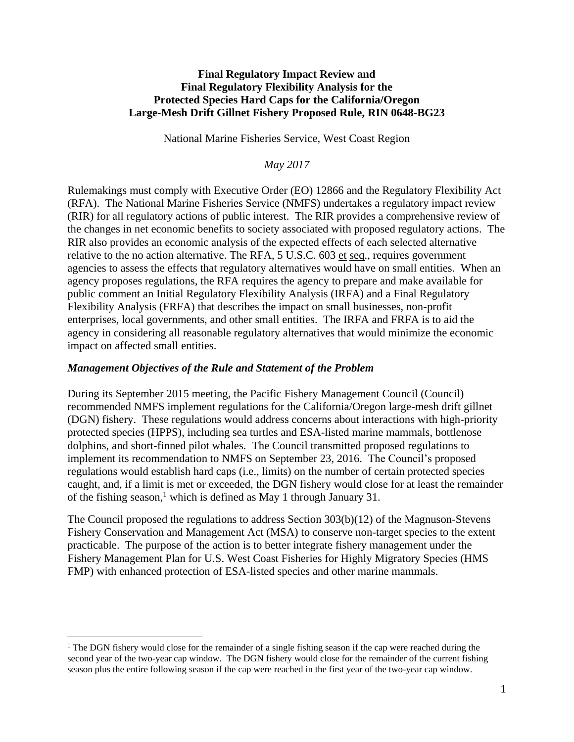#### **Final Regulatory Impact Review and Final Regulatory Flexibility Analysis for the Protected Species Hard Caps for the California/Oregon Large-Mesh Drift Gillnet Fishery Proposed Rule, RIN 0648-BG23**

National Marine Fisheries Service, West Coast Region

#### *May 2017*

Rulemakings must comply with Executive Order (EO) 12866 and the Regulatory Flexibility Act (RFA). The National Marine Fisheries Service (NMFS) undertakes a regulatory impact review (RIR) for all regulatory actions of public interest. The RIR provides a comprehensive review of the changes in net economic benefits to society associated with proposed regulatory actions. The RIR also provides an economic analysis of the expected effects of each selected alternative relative to the no action alternative. The RFA, 5 U.S.C. 603 et seq., requires government agencies to assess the effects that regulatory alternatives would have on small entities. When an agency proposes regulations, the RFA requires the agency to prepare and make available for public comment an Initial Regulatory Flexibility Analysis (IRFA) and a Final Regulatory Flexibility Analysis (FRFA) that describes the impact on small businesses, non-profit enterprises, local governments, and other small entities. The IRFA and FRFA is to aid the agency in considering all reasonable regulatory alternatives that would minimize the economic impact on affected small entities.

#### *Management Objectives of the Rule and Statement of the Problem*

 $\overline{a}$ 

During its September 2015 meeting, the Pacific Fishery Management Council (Council) recommended NMFS implement regulations for the California/Oregon large-mesh drift gillnet (DGN) fishery. These regulations would address concerns about interactions with high-priority protected species (HPPS), including sea turtles and ESA-listed marine mammals, bottlenose dolphins, and short-finned pilot whales. The Council transmitted proposed regulations to implement its recommendation to NMFS on September 23, 2016. The Council's proposed regulations would establish hard caps (i.e., limits) on the number of certain protected species caught, and, if a limit is met or exceeded, the DGN fishery would close for at least the remainder of the fishing season, <sup>1</sup> which is defined as May 1 through January 31.

The Council proposed the regulations to address Section 303(b)(12) of the Magnuson-Stevens Fishery Conservation and Management Act (MSA) to conserve non-target species to the extent practicable. The purpose of the action is to better integrate fishery management under the Fishery Management Plan for U.S. West Coast Fisheries for Highly Migratory Species (HMS FMP) with enhanced protection of ESA-listed species and other marine mammals.

<sup>&</sup>lt;sup>1</sup> The DGN fishery would close for the remainder of a single fishing season if the cap were reached during the second year of the two-year cap window. The DGN fishery would close for the remainder of the current fishing season plus the entire following season if the cap were reached in the first year of the two-year cap window.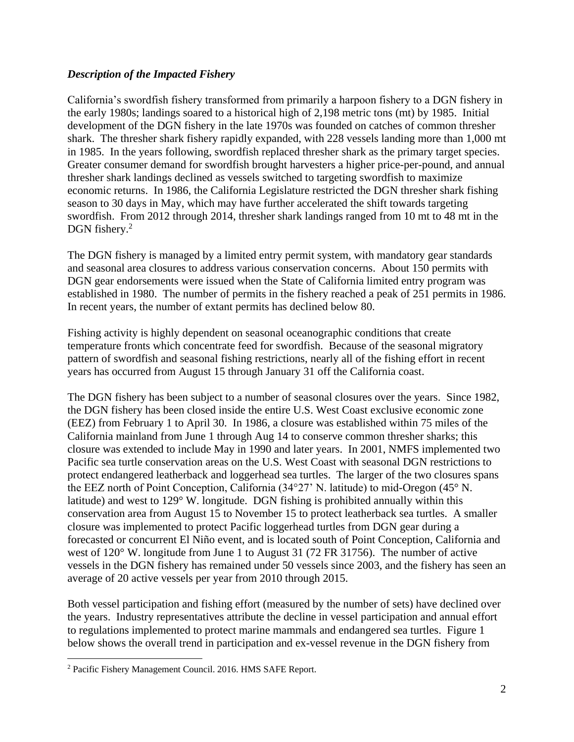### *Description of the Impacted Fishery*

California's swordfish fishery transformed from primarily a harpoon fishery to a DGN fishery in the early 1980s; landings soared to a historical high of 2,198 metric tons (mt) by 1985. Initial development of the DGN fishery in the late 1970s was founded on catches of common thresher shark. The thresher shark fishery rapidly expanded, with 228 vessels landing more than 1,000 mt in 1985. In the years following, swordfish replaced thresher shark as the primary target species. Greater consumer demand for swordfish brought harvesters a higher price-per-pound, and annual thresher shark landings declined as vessels switched to targeting swordfish to maximize economic returns. In 1986, the California Legislature restricted the DGN thresher shark fishing season to 30 days in May, which may have further accelerated the shift towards targeting swordfish. From 2012 through 2014, thresher shark landings ranged from 10 mt to 48 mt in the DGN fishery.<sup>2</sup>

The DGN fishery is managed by a limited entry permit system, with mandatory gear standards and seasonal area closures to address various conservation concerns. About 150 permits with DGN gear endorsements were issued when the State of California limited entry program was established in 1980. The number of permits in the fishery reached a peak of 251 permits in 1986. In recent years, the number of extant permits has declined below 80.

Fishing activity is highly dependent on seasonal oceanographic conditions that create temperature fronts which concentrate feed for swordfish. Because of the seasonal migratory pattern of swordfish and seasonal fishing restrictions, nearly all of the fishing effort in recent years has occurred from August 15 through January 31 off the California coast.

The DGN fishery has been subject to a number of seasonal closures over the years. Since 1982, the DGN fishery has been closed inside the entire U.S. West Coast exclusive economic zone (EEZ) from February 1 to April 30. In 1986, a closure was established within 75 miles of the California mainland from June 1 through Aug 14 to conserve common thresher sharks; this closure was extended to include May in 1990 and later years. In 2001, NMFS implemented two Pacific sea turtle conservation areas on the U.S. West Coast with seasonal DGN restrictions to protect endangered leatherback and loggerhead sea turtles. The larger of the two closures spans the EEZ north of Point Conception, California (34°27' N. latitude) to mid-Oregon (45° N. latitude) and west to 129° W. longitude. DGN fishing is prohibited annually within this conservation area from August 15 to November 15 to protect leatherback sea turtles. A smaller closure was implemented to protect Pacific loggerhead turtles from DGN gear during a forecasted or concurrent El Niño event, and is located south of Point Conception, California and west of 120° W. longitude from June 1 to August 31 (72 FR 31756). The number of active vessels in the DGN fishery has remained under 50 vessels since 2003, and the fishery has seen an average of 20 active vessels per year from 2010 through 2015.

Both vessel participation and fishing effort (measured by the number of sets) have declined over the years. Industry representatives attribute the decline in vessel participation and annual effort to regulations implemented to protect marine mammals and endangered sea turtles. Figure 1 below shows the overall trend in participation and ex-vessel revenue in the DGN fishery from

 $\overline{a}$ 

<sup>2</sup> Pacific Fishery Management Council. 2016. HMS SAFE Report.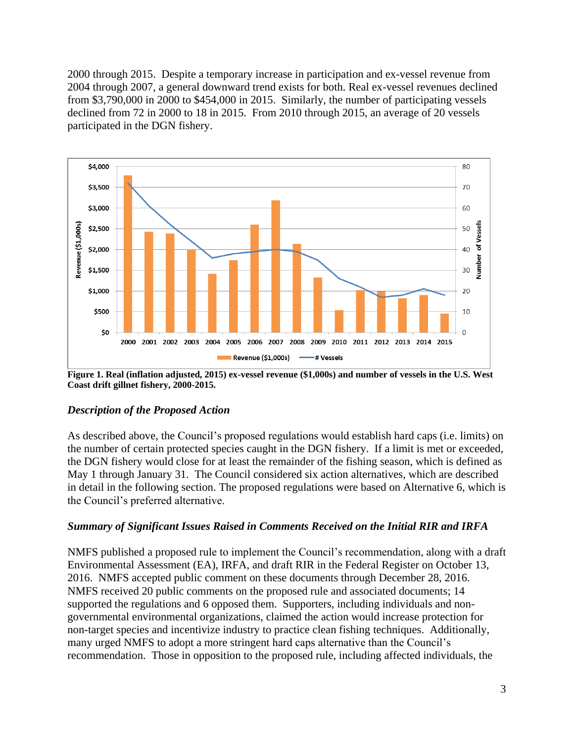2000 through 2015. Despite a temporary increase in participation and ex-vessel revenue from 2004 through 2007, a general downward trend exists for both. Real ex-vessel revenues declined from \$3,790,000 in 2000 to \$454,000 in 2015. Similarly, the number of participating vessels declined from 72 in 2000 to 18 in 2015. From 2010 through 2015, an average of 20 vessels participated in the DGN fishery.



**Figure 1. Real (inflation adjusted, 2015) ex-vessel revenue (\$1,000s) and number of vessels in the U.S. West Coast drift gillnet fishery, 2000-2015.**

### *Description of the Proposed Action*

As described above, the Council's proposed regulations would establish hard caps (i.e. limits) on the number of certain protected species caught in the DGN fishery. If a limit is met or exceeded, the DGN fishery would close for at least the remainder of the fishing season, which is defined as May 1 through January 31. The Council considered six action alternatives, which are described in detail in the following section. The proposed regulations were based on Alternative 6, which is the Council's preferred alternative.

### *Summary of Significant Issues Raised in Comments Received on the Initial RIR and IRFA*

NMFS published a proposed rule to implement the Council's recommendation, along with a draft Environmental Assessment (EA), IRFA, and draft RIR in the Federal Register on October 13, 2016. NMFS accepted public comment on these documents through December 28, 2016. NMFS received 20 public comments on the proposed rule and associated documents; 14 supported the regulations and 6 opposed them. Supporters, including individuals and nongovernmental environmental organizations, claimed the action would increase protection for non-target species and incentivize industry to practice clean fishing techniques. Additionally, many urged NMFS to adopt a more stringent hard caps alternative than the Council's recommendation. Those in opposition to the proposed rule, including affected individuals, the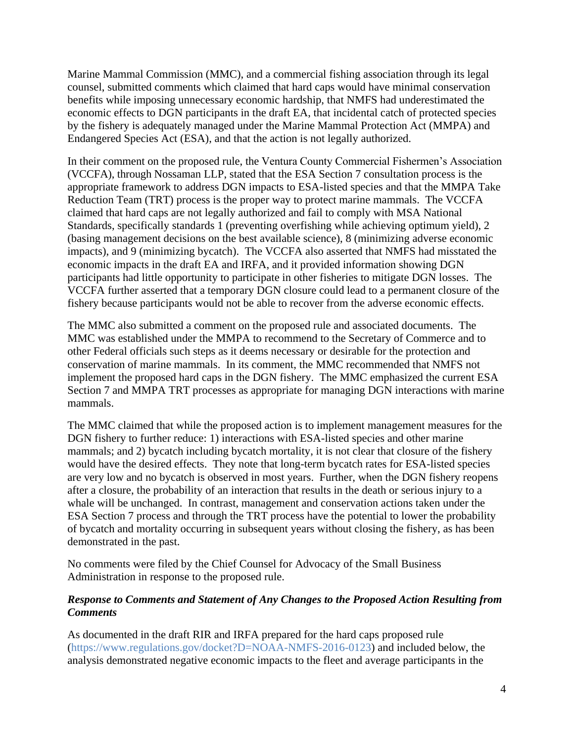Marine Mammal Commission (MMC), and a commercial fishing association through its legal counsel, submitted comments which claimed that hard caps would have minimal conservation benefits while imposing unnecessary economic hardship, that NMFS had underestimated the economic effects to DGN participants in the draft EA, that incidental catch of protected species by the fishery is adequately managed under the Marine Mammal Protection Act (MMPA) and Endangered Species Act (ESA), and that the action is not legally authorized.

In their comment on the proposed rule, the Ventura County Commercial Fishermen's Association (VCCFA), through Nossaman LLP, stated that the ESA Section 7 consultation process is the appropriate framework to address DGN impacts to ESA-listed species and that the MMPA Take Reduction Team (TRT) process is the proper way to protect marine mammals. The VCCFA claimed that hard caps are not legally authorized and fail to comply with MSA National Standards, specifically standards 1 (preventing overfishing while achieving optimum yield), 2 (basing management decisions on the best available science), 8 (minimizing adverse economic impacts), and 9 (minimizing bycatch). The VCCFA also asserted that NMFS had misstated the economic impacts in the draft EA and IRFA, and it provided information showing DGN participants had little opportunity to participate in other fisheries to mitigate DGN losses. The VCCFA further asserted that a temporary DGN closure could lead to a permanent closure of the fishery because participants would not be able to recover from the adverse economic effects.

The MMC also submitted a comment on the proposed rule and associated documents. The MMC was established under the MMPA to recommend to the Secretary of Commerce and to other Federal officials such steps as it deems necessary or desirable for the protection and conservation of marine mammals. In its comment, the MMC recommended that NMFS not implement the proposed hard caps in the DGN fishery. The MMC emphasized the current ESA Section 7 and MMPA TRT processes as appropriate for managing DGN interactions with marine mammals.

The MMC claimed that while the proposed action is to implement management measures for the DGN fishery to further reduce: 1) interactions with ESA-listed species and other marine mammals; and 2) bycatch including bycatch mortality, it is not clear that closure of the fishery would have the desired effects. They note that long-term bycatch rates for ESA-listed species are very low and no bycatch is observed in most years. Further, when the DGN fishery reopens after a closure, the probability of an interaction that results in the death or serious injury to a whale will be unchanged. In contrast, management and conservation actions taken under the ESA Section 7 process and through the TRT process have the potential to lower the probability of bycatch and mortality occurring in subsequent years without closing the fishery, as has been demonstrated in the past.

No comments were filed by the Chief Counsel for Advocacy of the Small Business Administration in response to the proposed rule.

### *Response to Comments and Statement of Any Changes to the Proposed Action Resulting from Comments*

As documented in the draft RIR and IRFA prepared for the hard caps proposed rule [\(https://www.regulations.gov/docket?D=NOAA-NMFS-2016-0123\)](https://www.regulations.gov/docket?D=NOAA-NMFS-2016-0123) and included below, the analysis demonstrated negative economic impacts to the fleet and average participants in the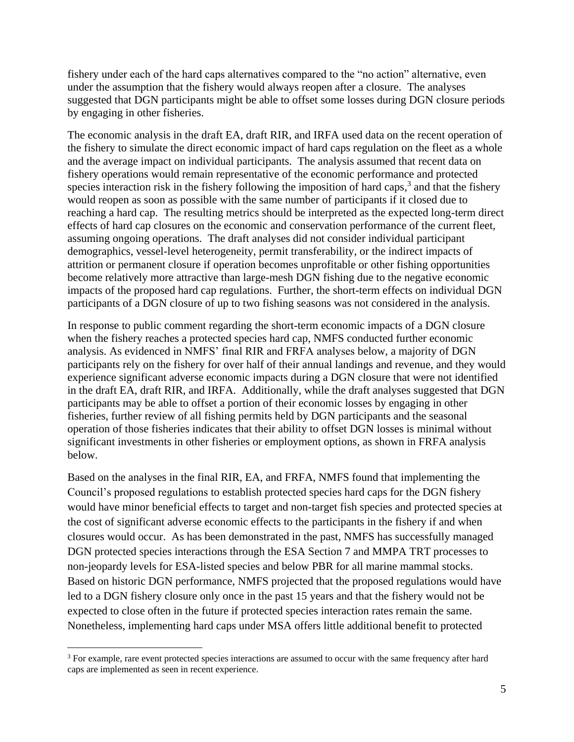fishery under each of the hard caps alternatives compared to the "no action" alternative, even under the assumption that the fishery would always reopen after a closure. The analyses suggested that DGN participants might be able to offset some losses during DGN closure periods by engaging in other fisheries.

The economic analysis in the draft EA, draft RIR, and IRFA used data on the recent operation of the fishery to simulate the direct economic impact of hard caps regulation on the fleet as a whole and the average impact on individual participants. The analysis assumed that recent data on fishery operations would remain representative of the economic performance and protected species interaction risk in the fishery following the imposition of hard caps, $3$  and that the fishery would reopen as soon as possible with the same number of participants if it closed due to reaching a hard cap. The resulting metrics should be interpreted as the expected long-term direct effects of hard cap closures on the economic and conservation performance of the current fleet, assuming ongoing operations. The draft analyses did not consider individual participant demographics, vessel-level heterogeneity, permit transferability, or the indirect impacts of attrition or permanent closure if operation becomes unprofitable or other fishing opportunities become relatively more attractive than large-mesh DGN fishing due to the negative economic impacts of the proposed hard cap regulations. Further, the short-term effects on individual DGN participants of a DGN closure of up to two fishing seasons was not considered in the analysis.

In response to public comment regarding the short-term economic impacts of a DGN closure when the fishery reaches a protected species hard cap, NMFS conducted further economic analysis. As evidenced in NMFS' final RIR and FRFA analyses below, a majority of DGN participants rely on the fishery for over half of their annual landings and revenue, and they would experience significant adverse economic impacts during a DGN closure that were not identified in the draft EA, draft RIR, and IRFA. Additionally, while the draft analyses suggested that DGN participants may be able to offset a portion of their economic losses by engaging in other fisheries, further review of all fishing permits held by DGN participants and the seasonal operation of those fisheries indicates that their ability to offset DGN losses is minimal without significant investments in other fisheries or employment options, as shown in FRFA analysis below.

Based on the analyses in the final RIR, EA, and FRFA, NMFS found that implementing the Council's proposed regulations to establish protected species hard caps for the DGN fishery would have minor beneficial effects to target and non-target fish species and protected species at the cost of significant adverse economic effects to the participants in the fishery if and when closures would occur. As has been demonstrated in the past, NMFS has successfully managed DGN protected species interactions through the ESA Section 7 and MMPA TRT processes to non-jeopardy levels for ESA-listed species and below PBR for all marine mammal stocks. Based on historic DGN performance, NMFS projected that the proposed regulations would have led to a DGN fishery closure only once in the past 15 years and that the fishery would not be expected to close often in the future if protected species interaction rates remain the same. Nonetheless, implementing hard caps under MSA offers little additional benefit to protected

 $\overline{a}$ 

<sup>&</sup>lt;sup>3</sup> For example, rare event protected species interactions are assumed to occur with the same frequency after hard caps are implemented as seen in recent experience.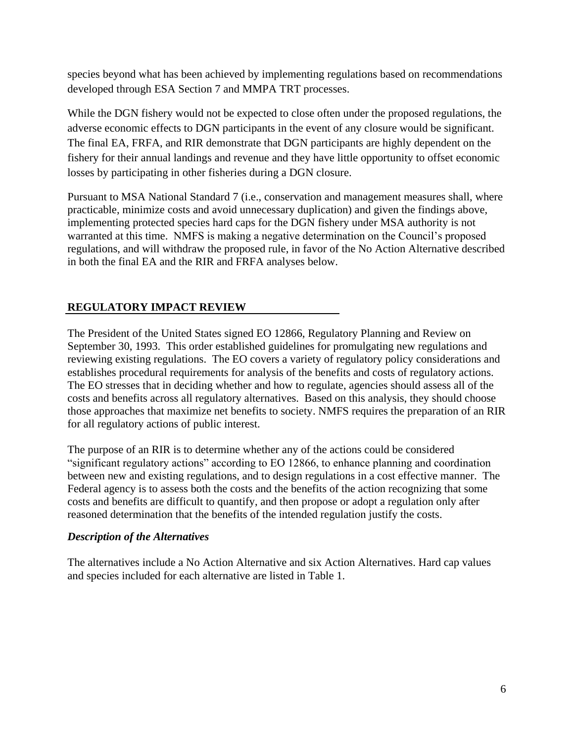species beyond what has been achieved by implementing regulations based on recommendations developed through ESA Section 7 and MMPA TRT processes.

While the DGN fishery would not be expected to close often under the proposed regulations, the adverse economic effects to DGN participants in the event of any closure would be significant. The final EA, FRFA, and RIR demonstrate that DGN participants are highly dependent on the fishery for their annual landings and revenue and they have little opportunity to offset economic losses by participating in other fisheries during a DGN closure.

Pursuant to MSA National Standard 7 (i.e., conservation and management measures shall, where practicable, minimize costs and avoid unnecessary duplication) and given the findings above, implementing protected species hard caps for the DGN fishery under MSA authority is not warranted at this time. NMFS is making a negative determination on the Council's proposed regulations, and will withdraw the proposed rule, in favor of the No Action Alternative described in both the final EA and the RIR and FRFA analyses below.

# **REGULATORY IMPACT REVIEW**

The President of the United States signed EO 12866, Regulatory Planning and Review on September 30, 1993. This order established guidelines for promulgating new regulations and reviewing existing regulations. The EO covers a variety of regulatory policy considerations and establishes procedural requirements for analysis of the benefits and costs of regulatory actions. The EO stresses that in deciding whether and how to regulate, agencies should assess all of the costs and benefits across all regulatory alternatives. Based on this analysis, they should choose those approaches that maximize net benefits to society. NMFS requires the preparation of an RIR for all regulatory actions of public interest.

The purpose of an RIR is to determine whether any of the actions could be considered "significant regulatory actions" according to EO 12866, to enhance planning and coordination between new and existing regulations, and to design regulations in a cost effective manner. The Federal agency is to assess both the costs and the benefits of the action recognizing that some costs and benefits are difficult to quantify, and then propose or adopt a regulation only after reasoned determination that the benefits of the intended regulation justify the costs.

### *Description of the Alternatives*

The alternatives include a No Action Alternative and six Action Alternatives. Hard cap values and species included for each alternative are listed in Table 1.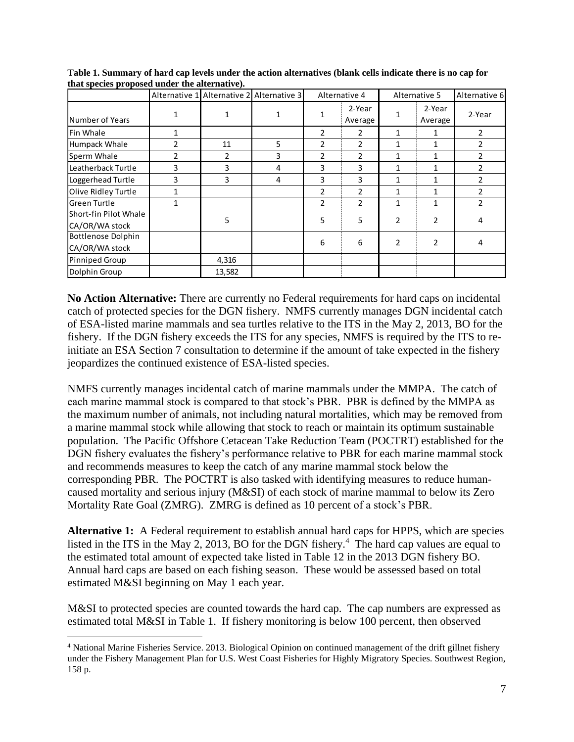| $\sim$                |                |        | Alternative 1 Alternative 2 Alternative 3 |                | Alternative 4  | Alternative 5  |                | Alternative 6  |
|-----------------------|----------------|--------|-------------------------------------------|----------------|----------------|----------------|----------------|----------------|
|                       |                |        |                                           | 1              | 2-Year         | 1              | 2-Year         | 2-Year         |
| Number of Years       |                |        |                                           |                | Average        |                | Average        |                |
| lFin Whale            | 1              |        |                                           | 2              | 2              | 1              | 1              | $\overline{2}$ |
| Humpack Whale         | $\overline{2}$ | 11     | 5                                         | $\overline{2}$ | $\overline{2}$ | 1              | 1              | $\overline{2}$ |
| Sperm Whale           | $\overline{2}$ | 2      | 3                                         | $\overline{2}$ | $\overline{2}$ | 1              | $\mathbf{1}$   | $\overline{2}$ |
| Leatherback Turtle    | 3              | 3      | 4                                         | 3              | 3              | $\mathbf{1}$   | 1              | $\overline{2}$ |
| Loggerhead Turtle     | 3              | 3      | 4                                         | 3              | 3              | 1              | 1              | $\overline{2}$ |
| Olive Ridley Turtle   | 1              |        |                                           | 2              | 2              | 1              | $\mathbf{1}$   | $\overline{2}$ |
| Green Turtle          | 1              |        |                                           | $\overline{2}$ | $\overline{2}$ | 1              | 1              | $\mathfrak{p}$ |
| Short-fin Pilot Whale |                | 5      |                                           | 5              | 5              | $\overline{2}$ | $\overline{2}$ | 4              |
| CA/OR/WA stock        |                |        |                                           |                |                |                |                |                |
| Bottlenose Dolphin    |                |        |                                           | 6              | 6              | $\overline{2}$ | $\mathfrak{p}$ | 4              |
| CA/OR/WA stock        |                |        |                                           |                |                |                |                |                |
| Pinniped Group        |                | 4,316  |                                           |                |                |                |                |                |
| Dolphin Group         |                | 13,582 |                                           |                |                |                |                |                |

**Table 1. Summary of hard cap levels under the action alternatives (blank cells indicate there is no cap for that species proposed under the alternative).**

**No Action Alternative:** There are currently no Federal requirements for hard caps on incidental catch of protected species for the DGN fishery. NMFS currently manages DGN incidental catch of ESA-listed marine mammals and sea turtles relative to the ITS in the May 2, 2013, BO for the fishery. If the DGN fishery exceeds the ITS for any species, NMFS is required by the ITS to reinitiate an ESA Section 7 consultation to determine if the amount of take expected in the fishery jeopardizes the continued existence of ESA-listed species.

NMFS currently manages incidental catch of marine mammals under the MMPA. The catch of each marine mammal stock is compared to that stock's PBR. PBR is defined by the MMPA as the maximum number of animals, not including natural mortalities, which may be removed from a marine mammal stock while allowing that stock to reach or maintain its optimum sustainable population. The Pacific Offshore Cetacean Take Reduction Team (POCTRT) established for the DGN fishery evaluates the fishery's performance relative to PBR for each marine mammal stock and recommends measures to keep the catch of any marine mammal stock below the corresponding PBR. The POCTRT is also tasked with identifying measures to reduce humancaused mortality and serious injury (M&SI) of each stock of marine mammal to below its Zero Mortality Rate Goal (ZMRG). ZMRG is defined as 10 percent of a stock's PBR.

**Alternative 1:** A Federal requirement to establish annual hard caps for HPPS, which are species listed in the ITS in the May 2, 2013, BO for the DGN fishery.<sup>4</sup> The hard cap values are equal to the estimated total amount of expected take listed in Table 12 in the 2013 DGN fishery BO. Annual hard caps are based on each fishing season. These would be assessed based on total estimated M&SI beginning on May 1 each year.

M&SI to protected species are counted towards the hard cap. The cap numbers are expressed as estimated total M&SI in Table 1. If fishery monitoring is below 100 percent, then observed

 $\overline{a}$ <sup>4</sup> National Marine Fisheries Service. 2013. Biological Opinion on continued management of the drift gillnet fishery under the Fishery Management Plan for U.S. West Coast Fisheries for Highly Migratory Species. Southwest Region, 158 p.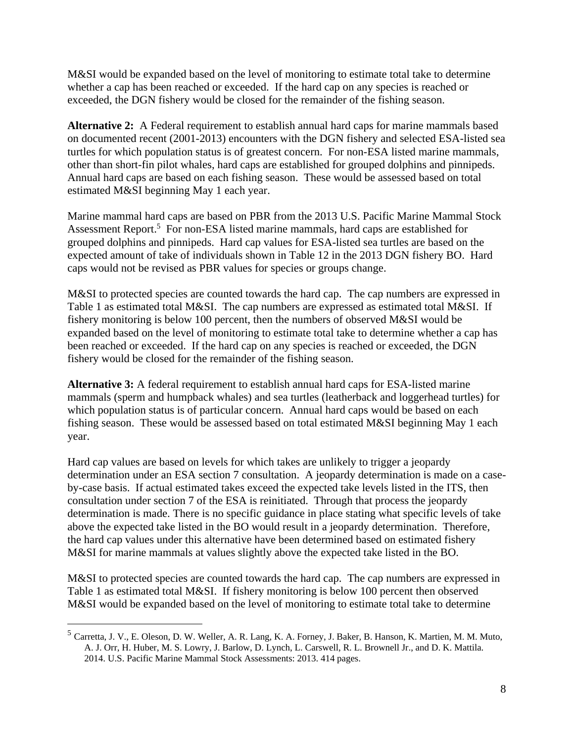M&SI would be expanded based on the level of monitoring to estimate total take to determine whether a cap has been reached or exceeded. If the hard cap on any species is reached or exceeded, the DGN fishery would be closed for the remainder of the fishing season.

**Alternative 2:** A Federal requirement to establish annual hard caps for marine mammals based on documented recent (2001-2013) encounters with the DGN fishery and selected ESA-listed sea turtles for which population status is of greatest concern. For non-ESA listed marine mammals, other than short-fin pilot whales, hard caps are established for grouped dolphins and pinnipeds. Annual hard caps are based on each fishing season. These would be assessed based on total estimated M&SI beginning May 1 each year.

Marine mammal hard caps are based on PBR from the 2013 U.S. Pacific Marine Mammal Stock Assessment Report.<sup>5</sup> For non-ESA listed marine mammals, hard caps are established for grouped dolphins and pinnipeds. Hard cap values for ESA-listed sea turtles are based on the expected amount of take of individuals shown in Table 12 in the 2013 DGN fishery BO. Hard caps would not be revised as PBR values for species or groups change.

M&SI to protected species are counted towards the hard cap. The cap numbers are expressed in Table 1 as estimated total M&SI. The cap numbers are expressed as estimated total M&SI. If fishery monitoring is below 100 percent, then the numbers of observed M&SI would be expanded based on the level of monitoring to estimate total take to determine whether a cap has been reached or exceeded. If the hard cap on any species is reached or exceeded, the DGN fishery would be closed for the remainder of the fishing season.

**Alternative 3:** A federal requirement to establish annual hard caps for ESA-listed marine mammals (sperm and humpback whales) and sea turtles (leatherback and loggerhead turtles) for which population status is of particular concern. Annual hard caps would be based on each fishing season. These would be assessed based on total estimated M&SI beginning May 1 each year.

Hard cap values are based on levels for which takes are unlikely to trigger a jeopardy determination under an ESA section 7 consultation. A jeopardy determination is made on a caseby-case basis. If actual estimated takes exceed the expected take levels listed in the ITS, then consultation under section 7 of the ESA is reinitiated. Through that process the jeopardy determination is made. There is no specific guidance in place stating what specific levels of take above the expected take listed in the BO would result in a jeopardy determination. Therefore, the hard cap values under this alternative have been determined based on estimated fishery M&SI for marine mammals at values slightly above the expected take listed in the BO.

M&SI to protected species are counted towards the hard cap. The cap numbers are expressed in Table 1 as estimated total M&SI. If fishery monitoring is below 100 percent then observed M&SI would be expanded based on the level of monitoring to estimate total take to determine

 $\overline{a}$ 

<sup>5</sup> Carretta, J. V., E. Oleson, D. W. Weller, A. R. Lang, K. A. Forney, J. Baker, B. Hanson, K. Martien, M. M. Muto, A. J. Orr, H. Huber, M. S. Lowry, J. Barlow, D. Lynch, L. Carswell, R. L. Brownell Jr., and D. K. Mattila. 2014. U.S. Pacific Marine Mammal Stock Assessments: 2013. 414 pages.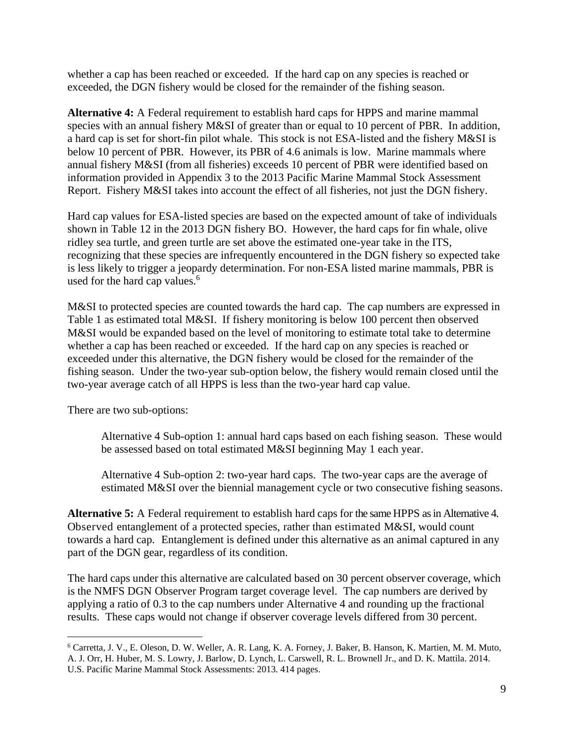whether a cap has been reached or exceeded. If the hard cap on any species is reached or exceeded, the DGN fishery would be closed for the remainder of the fishing season.

**Alternative 4:** A Federal requirement to establish hard caps for HPPS and marine mammal species with an annual fishery M&SI of greater than or equal to 10 percent of PBR. In addition, a hard cap is set for short-fin pilot whale. This stock is not ESA-listed and the fishery M&SI is below 10 percent of PBR. However, its PBR of 4.6 animals is low. Marine mammals where annual fishery M&SI (from all fisheries) exceeds 10 percent of PBR were identified based on information provided in Appendix 3 to the 2013 Pacific Marine Mammal Stock Assessment Report. Fishery M&SI takes into account the effect of all fisheries, not just the DGN fishery.

Hard cap values for ESA-listed species are based on the expected amount of take of individuals shown in Table 12 in the 2013 DGN fishery BO. However, the hard caps for fin whale, olive ridley sea turtle, and green turtle are set above the estimated one-year take in the ITS, recognizing that these species are infrequently encountered in the DGN fishery so expected take is less likely to trigger a jeopardy determination. For non-ESA listed marine mammals, PBR is used for the hard cap values.<sup>6</sup>

M&SI to protected species are counted towards the hard cap. The cap numbers are expressed in Table 1 as estimated total M&SI. If fishery monitoring is below 100 percent then observed M&SI would be expanded based on the level of monitoring to estimate total take to determine whether a cap has been reached or exceeded. If the hard cap on any species is reached or exceeded under this alternative, the DGN fishery would be closed for the remainder of the fishing season. Under the two-year sub-option below, the fishery would remain closed until the two-year average catch of all HPPS is less than the two-year hard cap value.

There are two sub-options:

 $\overline{a}$ 

Alternative 4 Sub-option 1: annual hard caps based on each fishing season. These would be assessed based on total estimated M&SI beginning May 1 each year.

Alternative 4 Sub-option 2: two-year hard caps. The two-year caps are the average of estimated M&SI over the biennial management cycle or two consecutive fishing seasons.

**Alternative 5:** A Federal requirement to establish hard caps for the same HPPS as in Alternative 4. Observed entanglement of a protected species, rather than estimated M&SI, would count towards a hard cap. Entanglement is defined under this alternative as an animal captured in any part of the DGN gear, regardless of its condition.

The hard caps under this alternative are calculated based on 30 percent observer coverage, which is the NMFS DGN Observer Program target coverage level. The cap numbers are derived by applying a ratio of 0.3 to the cap numbers under Alternative 4 and rounding up the fractional results. These caps would not change if observer coverage levels differed from 30 percent.

<sup>6</sup> Carretta, J. V., E. Oleson, D. W. Weller, A. R. Lang, K. A. Forney, J. Baker, B. Hanson, K. Martien, M. M. Muto, A. J. Orr, H. Huber, M. S. Lowry, J. Barlow, D. Lynch, L. Carswell, R. L. Brownell Jr., and D. K. Mattila. 2014. U.S. Pacific Marine Mammal Stock Assessments: 2013. 414 pages.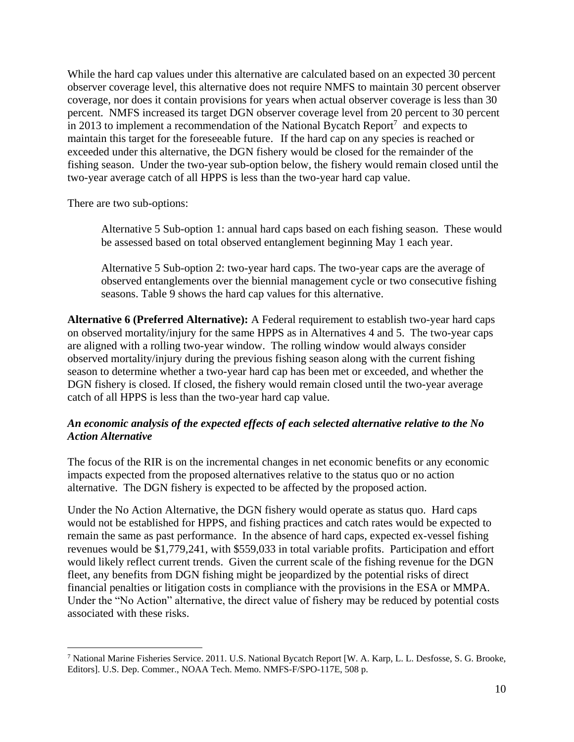While the hard cap values under this alternative are calculated based on an expected 30 percent observer coverage level, this alternative does not require NMFS to maintain 30 percent observer coverage, nor does it contain provisions for years when actual observer coverage is less than 30 percent. NMFS increased its target DGN observer coverage level from 20 percent to 30 percent in 2013 to implement a recommendation of the National Bycatch Report<sup>7</sup> and expects to maintain this target for the foreseeable future. If the hard cap on any species is reached or exceeded under this alternative, the DGN fishery would be closed for the remainder of the fishing season. Under the two-year sub-option below, the fishery would remain closed until the two-year average catch of all HPPS is less than the two-year hard cap value.

There are two sub-options:

 $\overline{a}$ 

Alternative 5 Sub-option 1: annual hard caps based on each fishing season. These would be assessed based on total observed entanglement beginning May 1 each year.

Alternative 5 Sub-option 2: two-year hard caps. The two-year caps are the average of observed entanglements over the biennial management cycle or two consecutive fishing seasons. Table 9 shows the hard cap values for this alternative.

**Alternative 6 (Preferred Alternative):** A Federal requirement to establish two-year hard caps on observed mortality/injury for the same HPPS as in Alternatives 4 and 5. The two-year caps are aligned with a rolling two-year window. The rolling window would always consider observed mortality/injury during the previous fishing season along with the current fishing season to determine whether a two-year hard cap has been met or exceeded, and whether the DGN fishery is closed. If closed, the fishery would remain closed until the two-year average catch of all HPPS is less than the two-year hard cap value.

### *An economic analysis of the expected effects of each selected alternative relative to the No Action Alternative*

The focus of the RIR is on the incremental changes in net economic benefits or any economic impacts expected from the proposed alternatives relative to the status quo or no action alternative. The DGN fishery is expected to be affected by the proposed action.

Under the No Action Alternative, the DGN fishery would operate as status quo. Hard caps would not be established for HPPS, and fishing practices and catch rates would be expected to remain the same as past performance. In the absence of hard caps, expected ex-vessel fishing revenues would be \$1,779,241, with \$559,033 in total variable profits. Participation and effort would likely reflect current trends. Given the current scale of the fishing revenue for the DGN fleet, any benefits from DGN fishing might be jeopardized by the potential risks of direct financial penalties or litigation costs in compliance with the provisions in the ESA or MMPA. Under the "No Action" alternative, the direct value of fishery may be reduced by potential costs associated with these risks.

<sup>7</sup> National Marine Fisheries Service. 2011. U.S. National Bycatch Report [W. A. Karp, L. L. Desfosse, S. G. Brooke, Editors]. U.S. Dep. Commer., NOAA Tech. Memo. NMFS-F/SPO-117E, 508 p.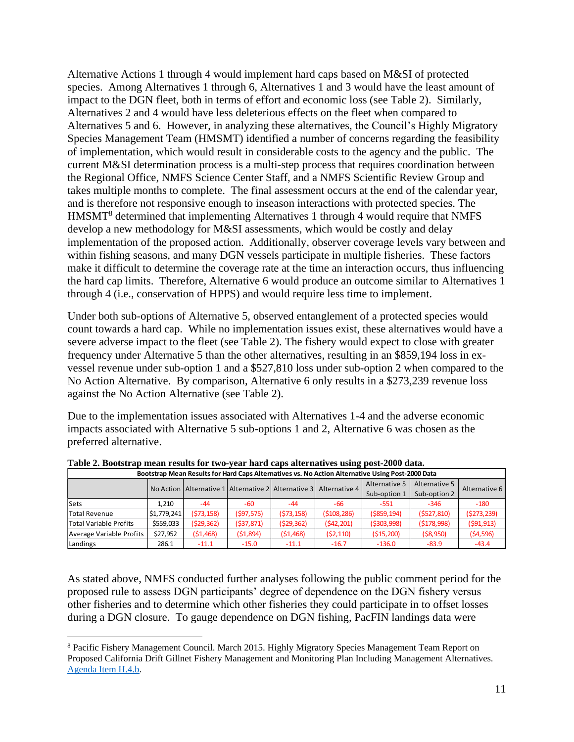Alternative Actions 1 through 4 would implement hard caps based on M&SI of protected species. Among Alternatives 1 through 6, Alternatives 1 and 3 would have the least amount of impact to the DGN fleet, both in terms of effort and economic loss (see Table 2). Similarly, Alternatives 2 and 4 would have less deleterious effects on the fleet when compared to Alternatives 5 and 6. However, in analyzing these alternatives, the Council's Highly Migratory Species Management Team (HMSMT) identified a number of concerns regarding the feasibility of implementation, which would result in considerable costs to the agency and the public. The current M&SI determination process is a multi-step process that requires coordination between the Regional Office, NMFS Science Center Staff, and a NMFS Scientific Review Group and takes multiple months to complete. The final assessment occurs at the end of the calendar year, and is therefore not responsive enough to inseason interactions with protected species. The HMSMT<sup>8</sup> determined that implementing Alternatives 1 through 4 would require that NMFS develop a new methodology for M&SI assessments, which would be costly and delay implementation of the proposed action. Additionally, observer coverage levels vary between and within fishing seasons, and many DGN vessels participate in multiple fisheries. These factors make it difficult to determine the coverage rate at the time an interaction occurs, thus influencing the hard cap limits. Therefore, Alternative 6 would produce an outcome similar to Alternatives 1 through 4 (i.e., conservation of HPPS) and would require less time to implement.

Under both sub-options of Alternative 5, observed entanglement of a protected species would count towards a hard cap. While no implementation issues exist, these alternatives would have a severe adverse impact to the fleet (see Table 2). The fishery would expect to close with greater frequency under Alternative 5 than the other alternatives, resulting in an \$859,194 loss in exvessel revenue under sub-option 1 and a \$527,810 loss under sub-option 2 when compared to the No Action Alternative. By comparison, Alternative 6 only results in a \$273,239 revenue loss against the No Action Alternative (see Table 2).

Due to the implementation issues associated with Alternatives 1-4 and the adverse economic impacts associated with Alternative 5 sub-options 1 and 2, Alternative 6 was chosen as the preferred alternative.

| Bootstrap Mean Results for Hard Caps Alternatives vs. No Action Alternative Using Post-2000 Data |             |            |            |            |                                                                           |                |               |               |  |  |  |  |
|--------------------------------------------------------------------------------------------------|-------------|------------|------------|------------|---------------------------------------------------------------------------|----------------|---------------|---------------|--|--|--|--|
|                                                                                                  |             |            |            |            | No Action   Alternative 1   Alternative 2   Alternative 3   Alternative 4 | Alternative 5  | Alternative 5 | Alternative 6 |  |  |  |  |
|                                                                                                  |             |            |            |            |                                                                           | Sub-option 1   | Sub-option 2  |               |  |  |  |  |
| <b>Sets</b>                                                                                      | 1.210       | $-44$      | -60        | $-44$      | -66                                                                       | -551           | $-346$        | $-180$        |  |  |  |  |
| <b>Total Revenue</b>                                                                             | \$1,779.241 | (573, 158) | (597, 575) | (573, 158) | ( \$108, 286)                                                             | $($ \$859,194) | (5527, 810)   | (5273, 239)   |  |  |  |  |
| Total Variable Profits                                                                           | \$559,033   | (529, 362) | (537, 871) | (529, 362) | (542, 201)                                                                | (5303,998)     | (5178,998)    | (591, 913)    |  |  |  |  |
| Average Variable Profits                                                                         | \$27,952    | (51, 468)  | (51,894)   | (51, 468)  | (52, 110)                                                                 | (515,200)      | ( \$8,950)    | (54, 596)     |  |  |  |  |
| Landings                                                                                         | 286.1       | $-11.1$    | $-15.0$    | $-11.1$    | $-16.7$                                                                   | $-136.0$       | $-83.9$       | $-43.4$       |  |  |  |  |

**Table 2. Bootstrap mean results for two-year hard caps alternatives using post-2000 data.**

As stated above, NMFS conducted further analyses following the public comment period for the proposed rule to assess DGN participants' degree of dependence on the DGN fishery versus other fisheries and to determine which other fisheries they could participate in to offset losses during a DGN closure. To gauge dependence on DGN fishing, PacFIN landings data were

 $\overline{a}$ <sup>8</sup> Pacific Fishery Management Council. March 2015. Highly Migratory Species Management Team Report on Proposed California Drift Gillnet Fishery Management and Monitoring Plan Including Management Alternatives. [Agenda Item H.4.b.](http://www.pcouncil.org/wp-content/uploads/H4b_HMSMT_Rpt_MAR2015BB.pdf)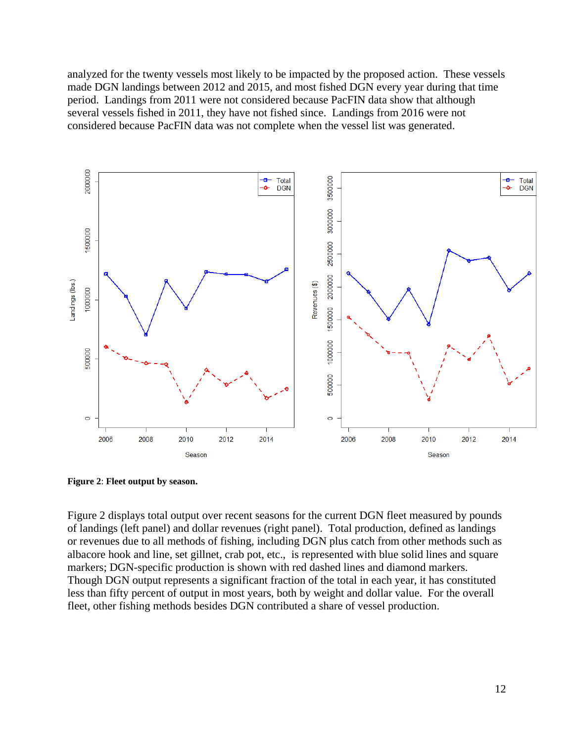analyzed for the twenty vessels most likely to be impacted by the proposed action. These vessels made DGN landings between 2012 and 2015, and most fished DGN every year during that time period. Landings from 2011 were not considered because PacFIN data show that although several vessels fished in 2011, they have not fished since. Landings from 2016 were not considered because PacFIN data was not complete when the vessel list was generated.



**Figure 2**: **Fleet output by season.**

Figure 2 displays total output over recent seasons for the current DGN fleet measured by pounds of landings (left panel) and dollar revenues (right panel). Total production, defined as landings or revenues due to all methods of fishing, including DGN plus catch from other methods such as albacore hook and line, set gillnet, crab pot, etc., is represented with blue solid lines and square markers; DGN-specific production is shown with red dashed lines and diamond markers. Though DGN output represents a significant fraction of the total in each year, it has constituted less than fifty percent of output in most years, both by weight and dollar value. For the overall fleet, other fishing methods besides DGN contributed a share of vessel production.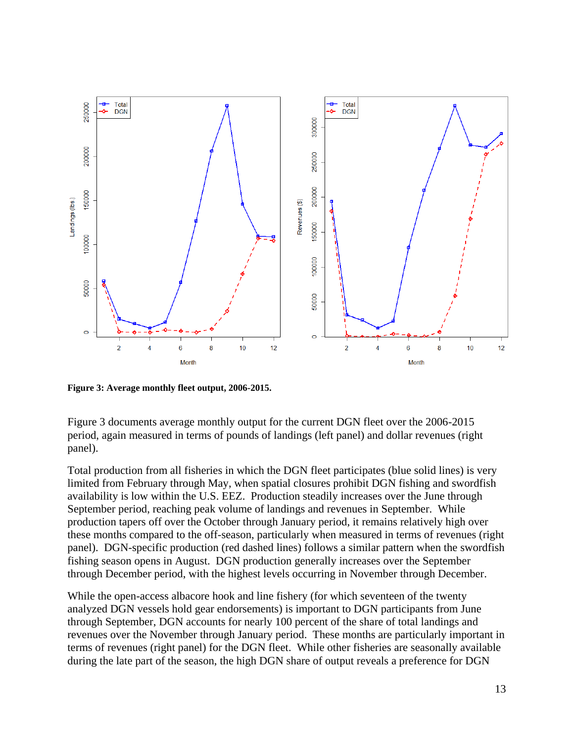

**Figure 3: Average monthly fleet output, 2006-2015.**

Figure 3 documents average monthly output for the current DGN fleet over the 2006-2015 period, again measured in terms of pounds of landings (left panel) and dollar revenues (right panel).

Total production from all fisheries in which the DGN fleet participates (blue solid lines) is very limited from February through May, when spatial closures prohibit DGN fishing and swordfish availability is low within the U.S. EEZ. Production steadily increases over the June through September period, reaching peak volume of landings and revenues in September. While production tapers off over the October through January period, it remains relatively high over these months compared to the off-season, particularly when measured in terms of revenues (right panel). DGN-specific production (red dashed lines) follows a similar pattern when the swordfish fishing season opens in August. DGN production generally increases over the September through December period, with the highest levels occurring in November through December.

While the open-access albacore hook and line fishery (for which seventeen of the twenty analyzed DGN vessels hold gear endorsements) is important to DGN participants from June through September, DGN accounts for nearly 100 percent of the share of total landings and revenues over the November through January period. These months are particularly important in terms of revenues (right panel) for the DGN fleet. While other fisheries are seasonally available during the late part of the season, the high DGN share of output reveals a preference for DGN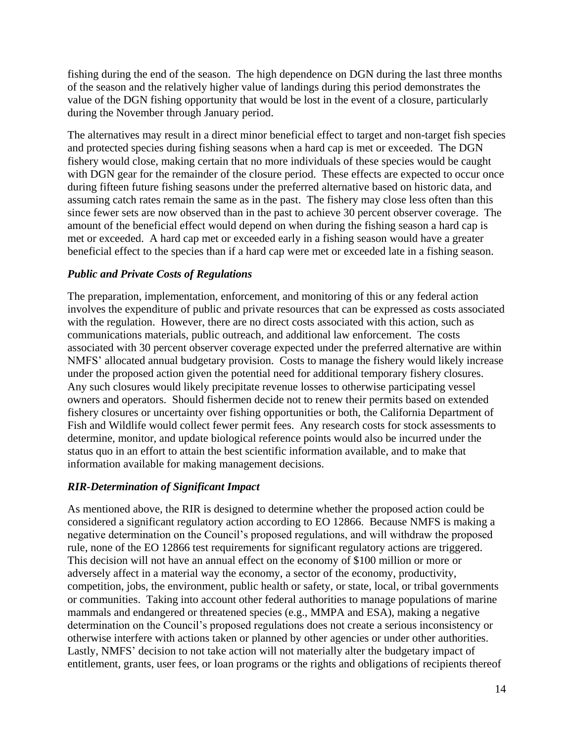fishing during the end of the season. The high dependence on DGN during the last three months of the season and the relatively higher value of landings during this period demonstrates the value of the DGN fishing opportunity that would be lost in the event of a closure, particularly during the November through January period.

The alternatives may result in a direct minor beneficial effect to target and non-target fish species and protected species during fishing seasons when a hard cap is met or exceeded. The DGN fishery would close, making certain that no more individuals of these species would be caught with DGN gear for the remainder of the closure period. These effects are expected to occur once during fifteen future fishing seasons under the preferred alternative based on historic data, and assuming catch rates remain the same as in the past. The fishery may close less often than this since fewer sets are now observed than in the past to achieve 30 percent observer coverage. The amount of the beneficial effect would depend on when during the fishing season a hard cap is met or exceeded. A hard cap met or exceeded early in a fishing season would have a greater beneficial effect to the species than if a hard cap were met or exceeded late in a fishing season.

### *Public and Private Costs of Regulations*

The preparation, implementation, enforcement, and monitoring of this or any federal action involves the expenditure of public and private resources that can be expressed as costs associated with the regulation. However, there are no direct costs associated with this action, such as communications materials, public outreach, and additional law enforcement. The costs associated with 30 percent observer coverage expected under the preferred alternative are within NMFS' allocated annual budgetary provision. Costs to manage the fishery would likely increase under the proposed action given the potential need for additional temporary fishery closures. Any such closures would likely precipitate revenue losses to otherwise participating vessel owners and operators. Should fishermen decide not to renew their permits based on extended fishery closures or uncertainty over fishing opportunities or both, the California Department of Fish and Wildlife would collect fewer permit fees. Any research costs for stock assessments to determine, monitor, and update biological reference points would also be incurred under the status quo in an effort to attain the best scientific information available, and to make that information available for making management decisions.

#### *RIR-Determination of Significant Impact*

As mentioned above, the RIR is designed to determine whether the proposed action could be considered a significant regulatory action according to EO 12866. Because NMFS is making a negative determination on the Council's proposed regulations, and will withdraw the proposed rule, none of the EO 12866 test requirements for significant regulatory actions are triggered. This decision will not have an annual effect on the economy of \$100 million or more or adversely affect in a material way the economy, a sector of the economy, productivity, competition, jobs, the environment, public health or safety, or state, local, or tribal governments or communities. Taking into account other federal authorities to manage populations of marine mammals and endangered or threatened species (e.g., MMPA and ESA), making a negative determination on the Council's proposed regulations does not create a serious inconsistency or otherwise interfere with actions taken or planned by other agencies or under other authorities. Lastly, NMFS' decision to not take action will not materially alter the budgetary impact of entitlement, grants, user fees, or loan programs or the rights and obligations of recipients thereof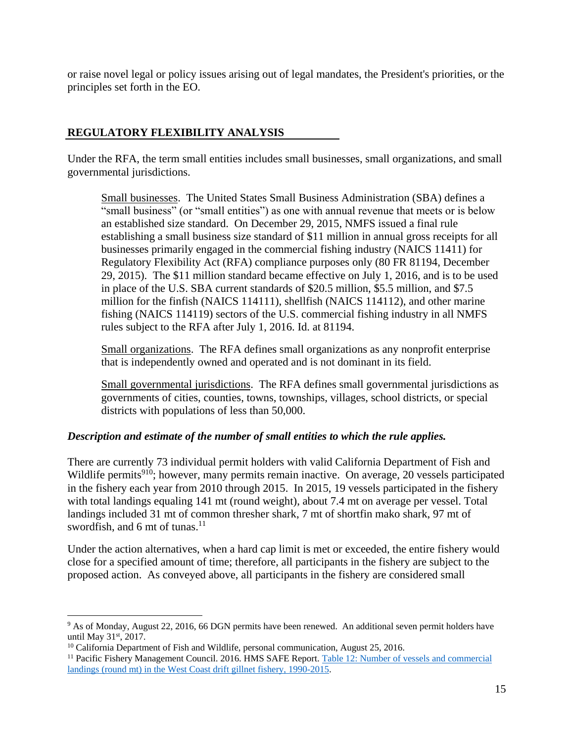or raise novel legal or policy issues arising out of legal mandates, the President's priorities, or the principles set forth in the EO.

### **REGULATORY FLEXIBILITY ANALYSIS**

Under the RFA, the term small entities includes small businesses, small organizations, and small governmental jurisdictions.

Small businesses. The United States Small Business Administration (SBA) defines a "small business" (or "small entities") as one with annual revenue that meets or is below an established size standard. On December 29, 2015, NMFS issued a final rule establishing a small business size standard of \$11 million in annual gross receipts for all businesses primarily engaged in the commercial fishing industry (NAICS 11411) for Regulatory Flexibility Act (RFA) compliance purposes only (80 FR 81194, December 29, 2015). The \$11 million standard became effective on July 1, 2016, and is to be used in place of the U.S. SBA current standards of \$20.5 million, \$5.5 million, and \$7.5 million for the finfish (NAICS 114111), shellfish (NAICS 114112), and other marine fishing (NAICS 114119) sectors of the U.S. commercial fishing industry in all NMFS rules subject to the RFA after July 1, 2016. Id. at 81194.

Small organizations. The RFA defines small organizations as any nonprofit enterprise that is independently owned and operated and is not dominant in its field.

Small governmental jurisdictions. The RFA defines small governmental jurisdictions as governments of cities, counties, towns, townships, villages, school districts, or special districts with populations of less than 50,000.

### *Description and estimate of the number of small entities to which the rule applies.*

There are currently 73 individual permit holders with valid California Department of Fish and Wildlife permits<sup>910</sup>; however, many permits remain inactive. On average, 20 vessels participated in the fishery each year from 2010 through 2015. In 2015, 19 vessels participated in the fishery with total landings equaling 141 mt (round weight), about 7.4 mt on average per vessel. Total landings included 31 mt of common thresher shark, 7 mt of shortfin mako shark, 97 mt of swordfish, and 6 mt of tunas.<sup>11</sup>

Under the action alternatives, when a hard cap limit is met or exceeded, the entire fishery would close for a specified amount of time; therefore, all participants in the fishery are subject to the proposed action. As conveyed above, all participants in the fishery are considered small

 $\overline{a}$ 

<sup>9</sup> As of Monday, August 22, 2016, 66 DGN permits have been renewed. An additional seven permit holders have until May 31st, 2017.

 $10$  California Department of Fish and Wildlife, personal communication, August 25, 2016.

<sup>&</sup>lt;sup>11</sup> Pacific Fishery Management Council. 2016. HMS SAFE Report. Table 12: Number of vessels and commercial [landings \(round mt\) in the West Coast drift gillnet fishery, 1990-2015.](http://www.pcouncil.org/wp-content/uploads/HMS-SAFE-Table-12.htm)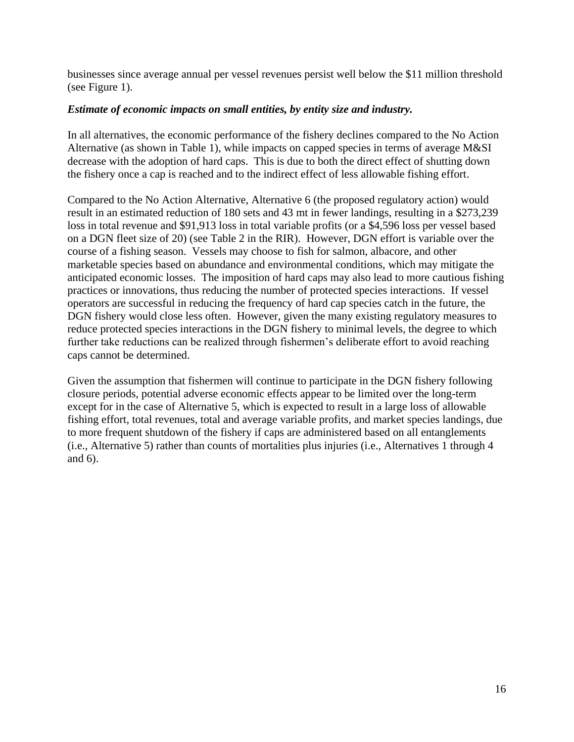businesses since average annual per vessel revenues persist well below the \$11 million threshold (see Figure 1).

#### *Estimate of economic impacts on small entities, by entity size and industry.*

In all alternatives, the economic performance of the fishery declines compared to the No Action Alternative (as shown in Table 1), while impacts on capped species in terms of average M&SI decrease with the adoption of hard caps. This is due to both the direct effect of shutting down the fishery once a cap is reached and to the indirect effect of less allowable fishing effort.

Compared to the No Action Alternative, Alternative 6 (the proposed regulatory action) would result in an estimated reduction of 180 sets and 43 mt in fewer landings, resulting in a \$273,239 loss in total revenue and \$91,913 loss in total variable profits (or a \$4,596 loss per vessel based on a DGN fleet size of 20) (see Table 2 in the RIR). However, DGN effort is variable over the course of a fishing season. Vessels may choose to fish for salmon, albacore, and other marketable species based on abundance and environmental conditions, which may mitigate the anticipated economic losses. The imposition of hard caps may also lead to more cautious fishing practices or innovations, thus reducing the number of protected species interactions. If vessel operators are successful in reducing the frequency of hard cap species catch in the future, the DGN fishery would close less often. However, given the many existing regulatory measures to reduce protected species interactions in the DGN fishery to minimal levels, the degree to which further take reductions can be realized through fishermen's deliberate effort to avoid reaching caps cannot be determined.

Given the assumption that fishermen will continue to participate in the DGN fishery following closure periods, potential adverse economic effects appear to be limited over the long-term except for in the case of Alternative 5, which is expected to result in a large loss of allowable fishing effort, total revenues, total and average variable profits, and market species landings, due to more frequent shutdown of the fishery if caps are administered based on all entanglements (i.e., Alternative 5) rather than counts of mortalities plus injuries (i.e., Alternatives 1 through 4 and 6).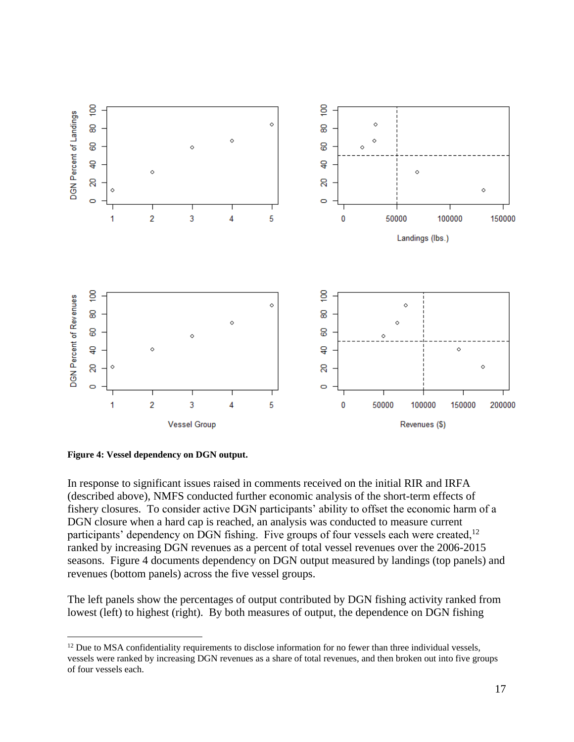



 $\overline{a}$ 

In response to significant issues raised in comments received on the initial RIR and IRFA (described above), NMFS conducted further economic analysis of the short-term effects of fishery closures. To consider active DGN participants' ability to offset the economic harm of a DGN closure when a hard cap is reached, an analysis was conducted to measure current participants' dependency on DGN fishing. Five groups of four vessels each were created, $12$ ranked by increasing DGN revenues as a percent of total vessel revenues over the 2006-2015 seasons. Figure 4 documents dependency on DGN output measured by landings (top panels) and revenues (bottom panels) across the five vessel groups.

The left panels show the percentages of output contributed by DGN fishing activity ranked from lowest (left) to highest (right). By both measures of output, the dependence on DGN fishing

<sup>&</sup>lt;sup>12</sup> Due to MSA confidentiality requirements to disclose information for no fewer than three individual vessels, vessels were ranked by increasing DGN revenues as a share of total revenues, and then broken out into five groups of four vessels each.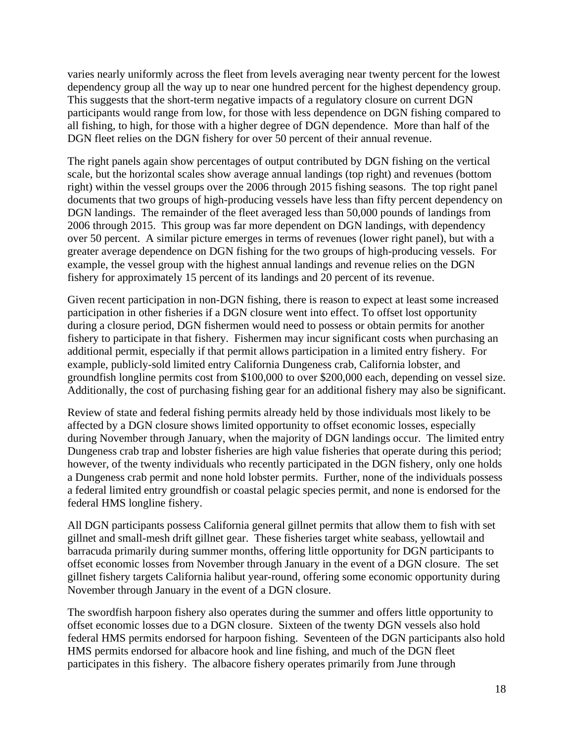varies nearly uniformly across the fleet from levels averaging near twenty percent for the lowest dependency group all the way up to near one hundred percent for the highest dependency group. This suggests that the short-term negative impacts of a regulatory closure on current DGN participants would range from low, for those with less dependence on DGN fishing compared to all fishing, to high, for those with a higher degree of DGN dependence. More than half of the DGN fleet relies on the DGN fishery for over 50 percent of their annual revenue.

The right panels again show percentages of output contributed by DGN fishing on the vertical scale, but the horizontal scales show average annual landings (top right) and revenues (bottom right) within the vessel groups over the 2006 through 2015 fishing seasons. The top right panel documents that two groups of high-producing vessels have less than fifty percent dependency on DGN landings. The remainder of the fleet averaged less than 50,000 pounds of landings from 2006 through 2015. This group was far more dependent on DGN landings, with dependency over 50 percent. A similar picture emerges in terms of revenues (lower right panel), but with a greater average dependence on DGN fishing for the two groups of high-producing vessels. For example, the vessel group with the highest annual landings and revenue relies on the DGN fishery for approximately 15 percent of its landings and 20 percent of its revenue.

Given recent participation in non-DGN fishing, there is reason to expect at least some increased participation in other fisheries if a DGN closure went into effect. To offset lost opportunity during a closure period, DGN fishermen would need to possess or obtain permits for another fishery to participate in that fishery. Fishermen may incur significant costs when purchasing an additional permit, especially if that permit allows participation in a limited entry fishery. For example, publicly-sold limited entry California Dungeness crab, California lobster, and groundfish longline permits cost from \$100,000 to over \$200,000 each, depending on vessel size. Additionally, the cost of purchasing fishing gear for an additional fishery may also be significant.

Review of state and federal fishing permits already held by those individuals most likely to be affected by a DGN closure shows limited opportunity to offset economic losses, especially during November through January, when the majority of DGN landings occur. The limited entry Dungeness crab trap and lobster fisheries are high value fisheries that operate during this period; however, of the twenty individuals who recently participated in the DGN fishery, only one holds a Dungeness crab permit and none hold lobster permits. Further, none of the individuals possess a federal limited entry groundfish or coastal pelagic species permit, and none is endorsed for the federal HMS longline fishery.

All DGN participants possess California general gillnet permits that allow them to fish with set gillnet and small-mesh drift gillnet gear. These fisheries target white seabass, yellowtail and barracuda primarily during summer months, offering little opportunity for DGN participants to offset economic losses from November through January in the event of a DGN closure. The set gillnet fishery targets California halibut year-round, offering some economic opportunity during November through January in the event of a DGN closure.

The swordfish harpoon fishery also operates during the summer and offers little opportunity to offset economic losses due to a DGN closure. Sixteen of the twenty DGN vessels also hold federal HMS permits endorsed for harpoon fishing. Seventeen of the DGN participants also hold HMS permits endorsed for albacore hook and line fishing, and much of the DGN fleet participates in this fishery. The albacore fishery operates primarily from June through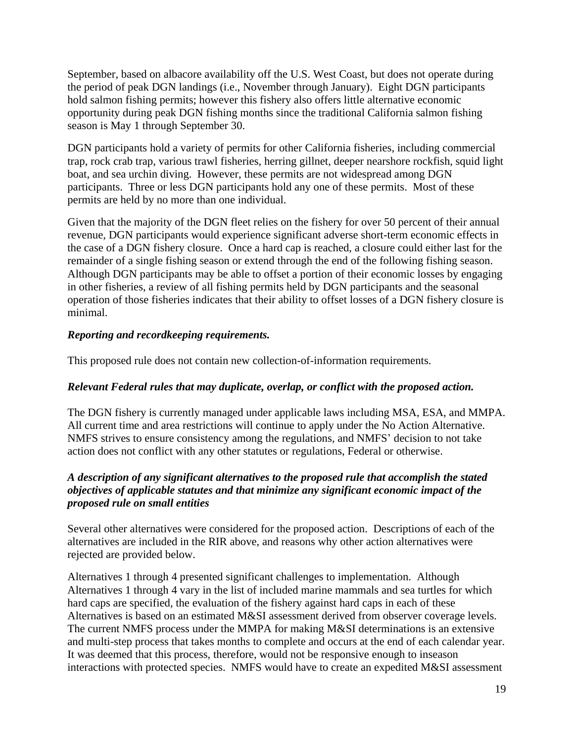September, based on albacore availability off the U.S. West Coast, but does not operate during the period of peak DGN landings (i.e., November through January). Eight DGN participants hold salmon fishing permits; however this fishery also offers little alternative economic opportunity during peak DGN fishing months since the traditional California salmon fishing season is May 1 through September 30.

DGN participants hold a variety of permits for other California fisheries, including commercial trap, rock crab trap, various trawl fisheries, herring gillnet, deeper nearshore rockfish, squid light boat, and sea urchin diving. However, these permits are not widespread among DGN participants. Three or less DGN participants hold any one of these permits. Most of these permits are held by no more than one individual.

Given that the majority of the DGN fleet relies on the fishery for over 50 percent of their annual revenue, DGN participants would experience significant adverse short-term economic effects in the case of a DGN fishery closure. Once a hard cap is reached, a closure could either last for the remainder of a single fishing season or extend through the end of the following fishing season. Although DGN participants may be able to offset a portion of their economic losses by engaging in other fisheries, a review of all fishing permits held by DGN participants and the seasonal operation of those fisheries indicates that their ability to offset losses of a DGN fishery closure is minimal.

## *Reporting and recordkeeping requirements.*

This proposed rule does not contain new collection-of-information requirements.

# *Relevant Federal rules that may duplicate, overlap, or conflict with the proposed action.*

The DGN fishery is currently managed under applicable laws including MSA, ESA, and MMPA. All current time and area restrictions will continue to apply under the No Action Alternative. NMFS strives to ensure consistency among the regulations, and NMFS' decision to not take action does not conflict with any other statutes or regulations, Federal or otherwise.

## *A description of any significant alternatives to the proposed rule that accomplish the stated objectives of applicable statutes and that minimize any significant economic impact of the proposed rule on small entities*

Several other alternatives were considered for the proposed action. Descriptions of each of the alternatives are included in the RIR above, and reasons why other action alternatives were rejected are provided below.

Alternatives 1 through 4 presented significant challenges to implementation. Although Alternatives 1 through 4 vary in the list of included marine mammals and sea turtles for which hard caps are specified, the evaluation of the fishery against hard caps in each of these Alternatives is based on an estimated M&SI assessment derived from observer coverage levels. The current NMFS process under the MMPA for making M&SI determinations is an extensive and multi-step process that takes months to complete and occurs at the end of each calendar year. It was deemed that this process, therefore, would not be responsive enough to inseason interactions with protected species. NMFS would have to create an expedited M&SI assessment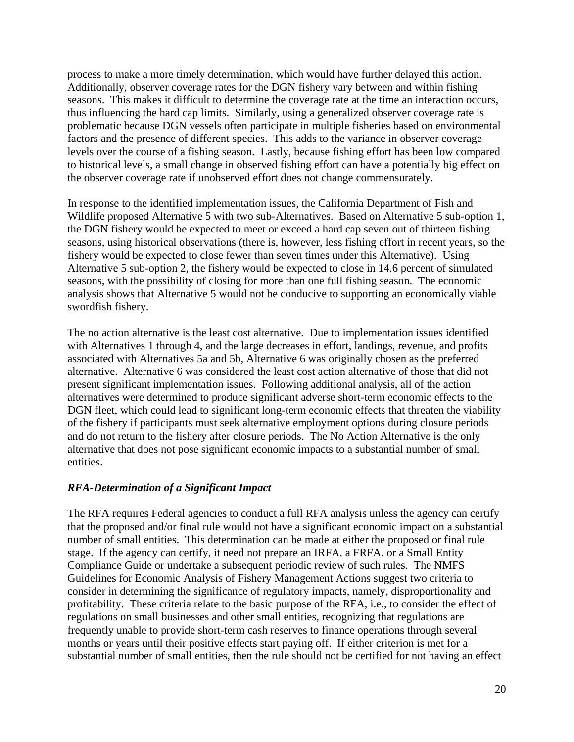process to make a more timely determination, which would have further delayed this action. Additionally, observer coverage rates for the DGN fishery vary between and within fishing seasons. This makes it difficult to determine the coverage rate at the time an interaction occurs, thus influencing the hard cap limits. Similarly, using a generalized observer coverage rate is problematic because DGN vessels often participate in multiple fisheries based on environmental factors and the presence of different species. This adds to the variance in observer coverage levels over the course of a fishing season. Lastly, because fishing effort has been low compared to historical levels, a small change in observed fishing effort can have a potentially big effect on the observer coverage rate if unobserved effort does not change commensurately.

In response to the identified implementation issues, the California Department of Fish and Wildlife proposed Alternative 5 with two sub-Alternatives. Based on Alternative 5 sub-option 1, the DGN fishery would be expected to meet or exceed a hard cap seven out of thirteen fishing seasons, using historical observations (there is, however, less fishing effort in recent years, so the fishery would be expected to close fewer than seven times under this Alternative). Using Alternative 5 sub-option 2, the fishery would be expected to close in 14.6 percent of simulated seasons, with the possibility of closing for more than one full fishing season. The economic analysis shows that Alternative 5 would not be conducive to supporting an economically viable swordfish fishery.

The no action alternative is the least cost alternative. Due to implementation issues identified with Alternatives 1 through 4, and the large decreases in effort, landings, revenue, and profits associated with Alternatives 5a and 5b, Alternative 6 was originally chosen as the preferred alternative. Alternative 6 was considered the least cost action alternative of those that did not present significant implementation issues. Following additional analysis, all of the action alternatives were determined to produce significant adverse short-term economic effects to the DGN fleet, which could lead to significant long-term economic effects that threaten the viability of the fishery if participants must seek alternative employment options during closure periods and do not return to the fishery after closure periods. The No Action Alternative is the only alternative that does not pose significant economic impacts to a substantial number of small entities.

### *RFA-Determination of a Significant Impact*

The RFA requires Federal agencies to conduct a full RFA analysis unless the agency can certify that the proposed and/or final rule would not have a significant economic impact on a substantial number of small entities. This determination can be made at either the proposed or final rule stage. If the agency can certify, it need not prepare an IRFA, a FRFA, or a Small Entity Compliance Guide or undertake a subsequent periodic review of such rules. The NMFS Guidelines for Economic Analysis of Fishery Management Actions suggest two criteria to consider in determining the significance of regulatory impacts, namely, disproportionality and profitability. These criteria relate to the basic purpose of the RFA, i.e., to consider the effect of regulations on small businesses and other small entities, recognizing that regulations are frequently unable to provide short-term cash reserves to finance operations through several months or years until their positive effects start paying off. If either criterion is met for a substantial number of small entities, then the rule should not be certified for not having an effect